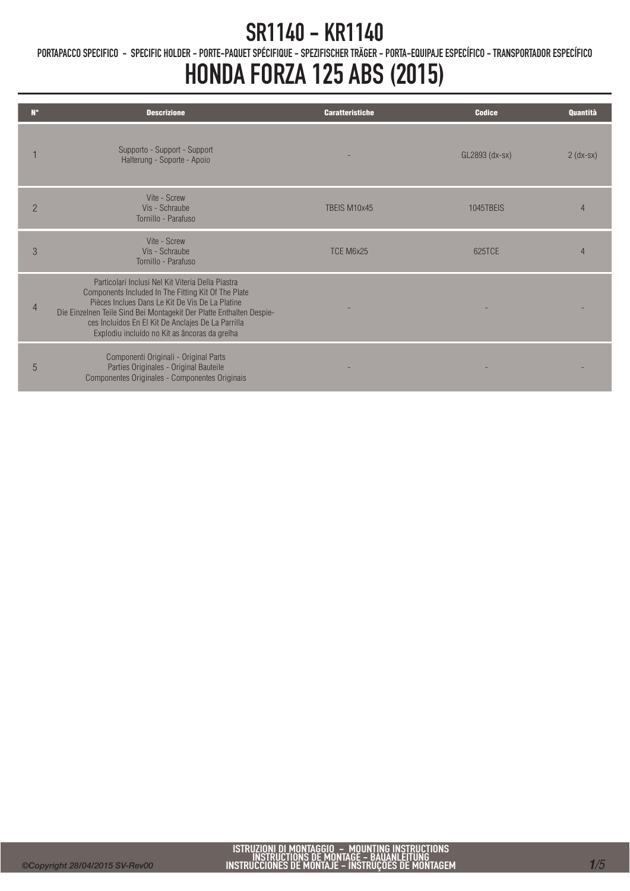PORTAPACCO SPECIFICO - SPECIFIC HOLDER - PORTE-PAQUET SPÉCIFIQUE - SPEZIFISCHER TRÄGER - PORTA-EQUIPAJE ESPECÍFICO - TRANSPORTADOR ESPECÍFICO

### HONDA FORZA 125 ABS (2015)

| N°             | <b>Descrizione</b>                                                                                                                                                                                                                                                                                                                         | <b>Caratteristiche</b> | <b>Codice</b>    | Quantità    |
|----------------|--------------------------------------------------------------------------------------------------------------------------------------------------------------------------------------------------------------------------------------------------------------------------------------------------------------------------------------------|------------------------|------------------|-------------|
|                | Supporto - Support - Support<br>Halterung - Soporte - Apoio                                                                                                                                                                                                                                                                                |                        | GL2893 (dx-sx)   | $2$ (dx-sx) |
| $\overline{2}$ | Vite - Screw<br>Vis - Schraube<br>Tornillo - Parafuso                                                                                                                                                                                                                                                                                      | TBFIS M10x45           | <b>1045TBFIS</b> |             |
| 3              | Vite - Screw<br>Vis - Schraube<br>Tornillo - Parafuso                                                                                                                                                                                                                                                                                      | TCE M6x25              | 625TCF           |             |
| $\overline{4}$ | Particolari Inclusi Nel Kit Viteria Della Piastra<br>Components Included In The Fitting Kit Of The Plate<br>Pièces Inclues Dans Le Kit De Vis De La Platine<br>Die Einzelnen Teile Sind Bei Montagekit Der Platte Enthalten Despie-<br>ces Incluidos En El Kit De Anclajes De La Parrilla<br>Explodiu incluído no Kit as âncoras da grelha |                        |                  |             |
| 5              | Componenti Originali - Original Parts<br>Parties Originales - Original Bauteile<br>Componentes Originales - Componentes Originais                                                                                                                                                                                                          |                        |                  |             |

Ī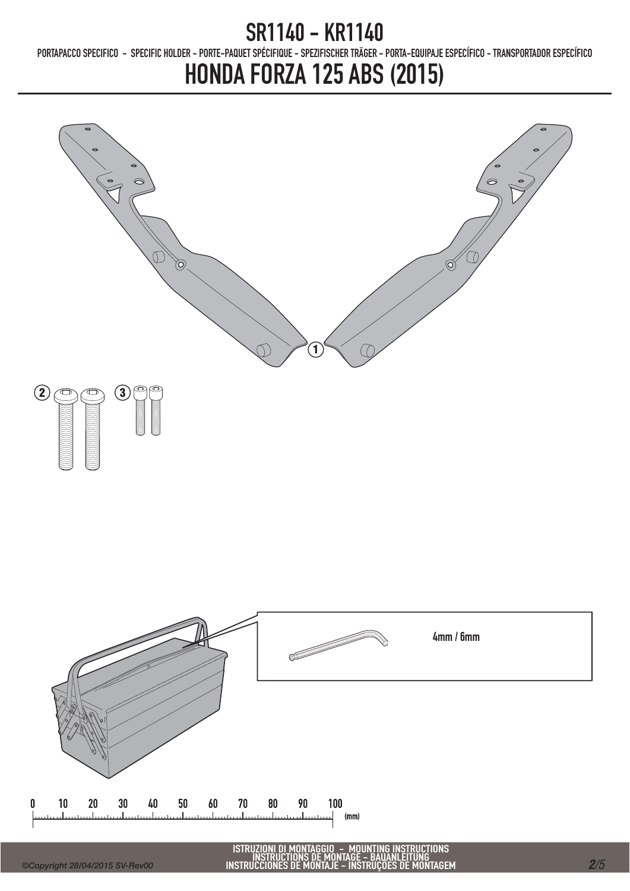PORTAPACCO SPECIFICO - SPECIFIC HOLDER - PORTE-PAQUET SPÉCIFIQUE - SPEZIFISCHER TRÄGER - PORTA-EQUIPAJE ESPECÍFICO - TRANSPORTADOR ESPECÍFICO

## HONDA FORZA 125 ABS (2015)



ISTRUZIONI DI MONTAGGIO – MOUNTING INSTRUCTIONS<br>INSTRUCTIONS DE MONTAGE – BAUANLEITUNG<br>INSTRUCCIONES DE MONTAJE – INSTRUÇÕES DE MONTAGEM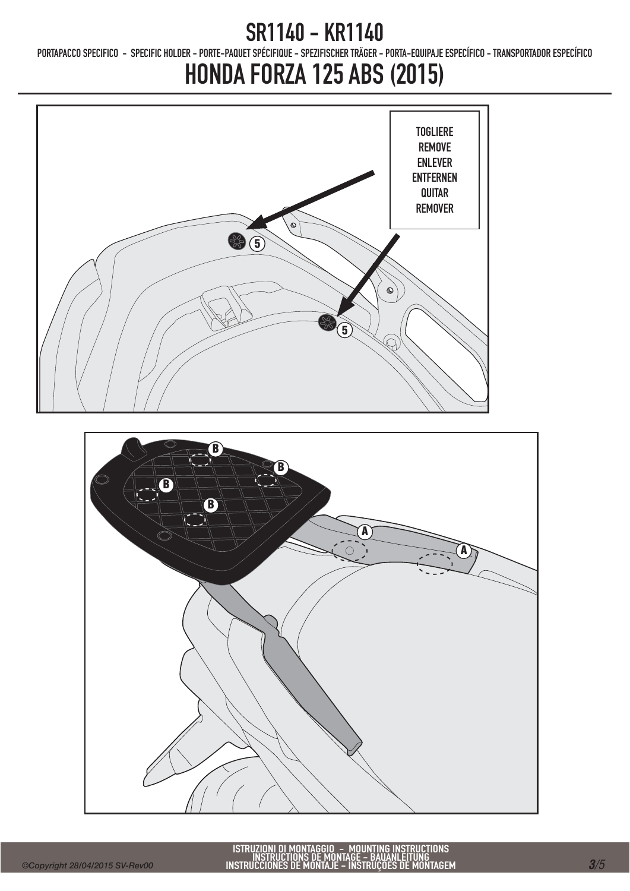PORTAPACCO SPECIFICO - SPECIFIC HOLDER - PORTE-PAQUET SPÉCIFIQUE - SPEZIFISCHER TRÄGER - PORTA-EQUIPAJE ESPECÍFICO - TRANSPORTADOR ESPECÍFICO

# HONDA FORZA 125 ABS (2015)

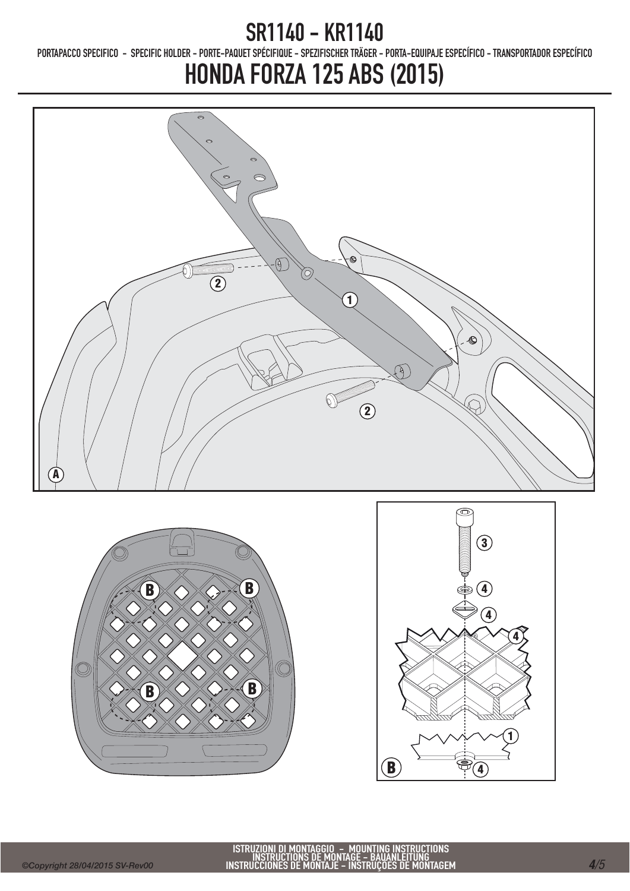PORTAPACCO SPECIFICO - SPECIFIC HOLDER - PORTE-PAQUET SPÉCIFIQUE - SPEZIFISCHER TRÄGER - PORTA-EQUIPAJE ESPECÍFICO - TRANSPORTADOR ESPECÍFICO

# HONDA FORZA 125 ABS (2015)